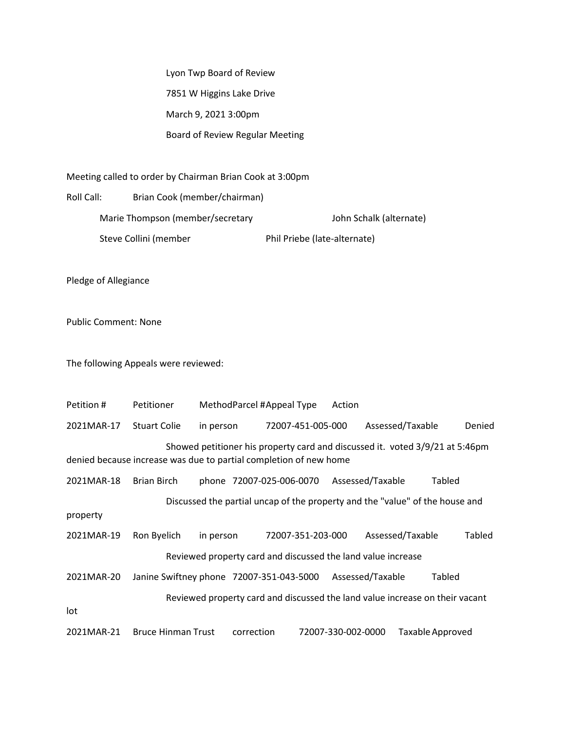Lyon Twp Board of Review 7851 W Higgins Lake Drive March 9, 2021 3:00pm Board of Review Regular Meeting

Meeting called to order by Chairman Brian Cook at 3:00pm

Roll Call: Brian Cook (member/chairman) Marie Thompson (member/secretary John Schalk (alternate) Steve Collini (member Phil Priebe (late-alternate)

Pledge of Allegiance

Public Comment: None

The following Appeals were reviewed:

Petition # Petitioner MethodParcel #Appeal Type Action 2021MAR-17 Stuart Colie in person 72007-451-005-000 Assessed/Taxable Denied Showed petitioner his property card and discussed it. voted 3/9/21 at 5:46pm denied because increase was due to partial completion of new home 2021MAR-18 Brian Birch phone 72007-025-006-0070 Assessed/Taxable Tabled Discussed the partial uncap of the property and the "value" of the house and property 2021MAR-19 Ron Byelich in person 72007-351-203-000 Assessed/Taxable Tabled Reviewed property card and discussed the land value increase 2021MAR-20 Janine Swiftney phone 72007-351-043-5000 Assessed/Taxable Tabled Reviewed property card and discussed the land value increase on their vacant lot 2021MAR-21 Bruce Hinman Trust correction 72007-330-002-0000 TaxableApproved